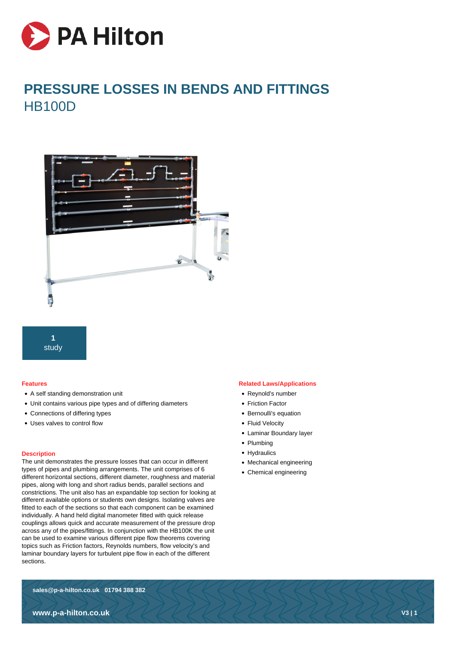

# **PRESSURE LOSSES IN BENDS AND FITTINGS HB100D**





## **Features**

- A self standing demonstration unit
- Unit contains various pipe types and of differing diameters
- Connections of differing types
- Uses valves to control flow

## **Description**

The unit demonstrates the pressure losses that can occur in different types of pipes and plumbing arrangements. The unit comprises of 6 different horizontal sections, different diameter, roughness and material pipes, along with long and short radius bends, parallel sections and constrictions. The unit also has an expandable top section for looking at different available options or students own designs. Isolating valves are fitted to each of the sections so that each component can be examined individually. A hand held digital manometer fitted with quick release couplings allows quick and accurate measurement of the pressure drop across any of the pipes/fittings. In conjunction with the HB100K the unit can be used to examine various different pipe flow theorems covering topics such as Friction factors, Reynolds numbers, flow velocity's and laminar boundary layers for turbulent pipe flow in each of the different sections.

## **Related Laws/Applications**

- Reynold's number
- Friction Factor
- Bernoulli's equation
- Fluid Velocity
- Laminar Boundary layer
- Plumbing
- Hydraulics
- Mechanical engineering
- Chemical engineering